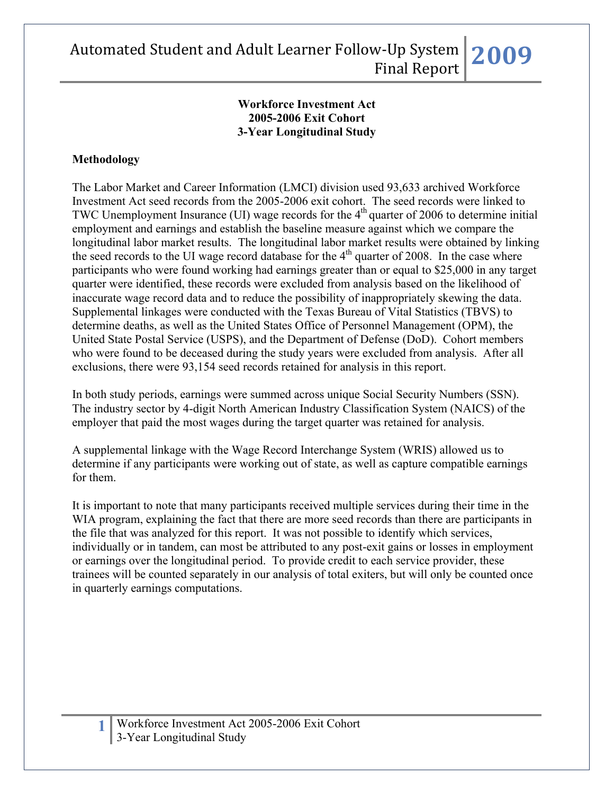#### **Workforce Investment Act 2005-2006 Exit Cohort 3-Year Longitudinal Study**

### **Methodology**

The Labor Market and Career Information (LMCI) division used 93,633 archived Workforce Investment Act seed records from the 2005-2006 exit cohort. The seed records were linked to TWC Unemployment Insurance (UI) wage records for the  $4<sup>th</sup>$  quarter of 2006 to determine initial employment and earnings and establish the baseline measure against which we compare the longitudinal labor market results. The longitudinal labor market results were obtained by linking the seed records to the UI wage record database for the  $4<sup>th</sup>$  quarter of 2008. In the case where participants who were found working had earnings greater than or equal to \$25,000 in any target quarter were identified, these records were excluded from analysis based on the likelihood of inaccurate wage record data and to reduce the possibility of inappropriately skewing the data. Supplemental linkages were conducted with the Texas Bureau of Vital Statistics (TBVS) to determine deaths, as well as the United States Office of Personnel Management (OPM), the United State Postal Service (USPS), and the Department of Defense (DoD). Cohort members who were found to be deceased during the study years were excluded from analysis. After all exclusions, there were 93,154 seed records retained for analysis in this report.

In both study periods, earnings were summed across unique Social Security Numbers (SSN). The industry sector by 4-digit North American Industry Classification System (NAICS) of the employer that paid the most wages during the target quarter was retained for analysis.

A supplemental linkage with the Wage Record Interchange System (WRIS) allowed us to determine if any participants were working out of state, as well as capture compatible earnings for them.

It is important to note that many participants received multiple services during their time in the WIA program, explaining the fact that there are more seed records than there are participants in the file that was analyzed for this report. It was not possible to identify which services, individually or in tandem, can most be attributed to any post-exit gains or losses in employment or earnings over the longitudinal period. To provide credit to each service provider, these trainees will be counted separately in our analysis of total exiters, but will only be counted once in quarterly earnings computations.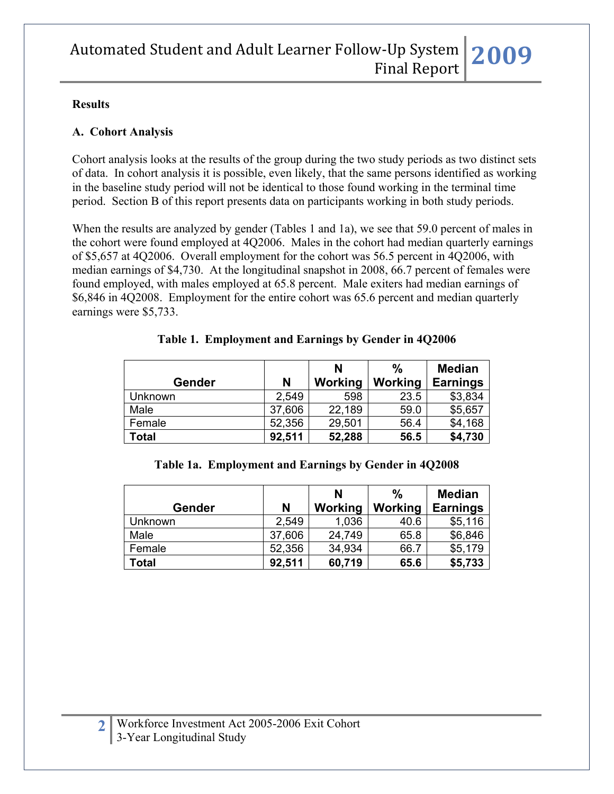#### **Results**

#### **A. Cohort Analysis**

Cohort analysis looks at the results of the group during the two study periods as two distinct sets of data. In cohort analysis it is possible, even likely, that the same persons identified as working in the baseline study period will not be identical to those found working in the terminal time period. Section B of this report presents data on participants working in both study periods.

When the results are analyzed by gender (Tables 1 and 1a), we see that 59.0 percent of males in the cohort were found employed at 4Q2006. Males in the cohort had median quarterly earnings of \$5,657 at 4Q2006. Overall employment for the cohort was 56.5 percent in 4Q2006, with median earnings of \$4,730. At the longitudinal snapshot in 2008, 66.7 percent of females were found employed, with males employed at 65.8 percent. Male exiters had median earnings of \$6,846 in 4Q2008. Employment for the entire cohort was 65.6 percent and median quarterly earnings were \$5,733.

|         |        | $\frac{0}{0}$<br>N |         |                 |  | <b>Median</b> |
|---------|--------|--------------------|---------|-----------------|--|---------------|
| Gender  | N      | Working            | Working | <b>Earnings</b> |  |               |
| Unknown | 2,549  | 598                | 23.5    | \$3,834         |  |               |
| Male    | 37,606 | 22,189             | 59.0    | \$5,657         |  |               |
| Female  | 52,356 | 29,501             | 56.4    | \$4,168         |  |               |
| Total   | 92,511 | 52,288             | 56.5    | \$4,730         |  |               |

**Table 1. Employment and Earnings by Gender in 4Q2006** 

#### **Table 1a. Employment and Earnings by Gender in 4Q2008**

|               |        | N       | $\frac{0}{0}$ | <b>Median</b>   |
|---------------|--------|---------|---------------|-----------------|
| <b>Gender</b> | N      | Working | Working       | <b>Earnings</b> |
| Unknown       | 2,549  | 1,036   | 40.6          | \$5,116         |
| Male          | 37,606 | 24,749  | 65.8          | \$6,846         |
| Female        | 52,356 | 34,934  | 66.7          | \$5,179         |
| Total         | 92,511 | 60,719  | 65.6          | \$5,733         |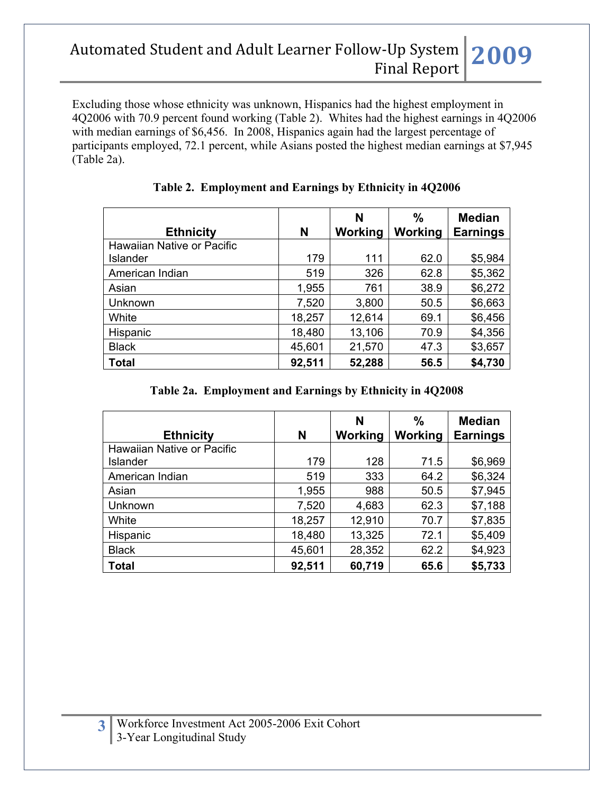Excluding those whose ethnicity was unknown, Hispanics had the highest employment in 4Q2006 with 70.9 percent found working (Table 2). Whites had the highest earnings in 4Q2006 with median earnings of \$6,456. In 2008, Hispanics again had the largest percentage of participants employed, 72.1 percent, while Asians posted the highest median earnings at \$7,945 (Table 2a).

| <b>Ethnicity</b>           | N      | N<br>Working | $\frac{0}{0}$<br>Working | <b>Median</b><br><b>Earnings</b> |
|----------------------------|--------|--------------|--------------------------|----------------------------------|
| Hawaiian Native or Pacific |        |              |                          |                                  |
| Islander                   | 179    | 111          | 62.0                     | \$5,984                          |
| American Indian            | 519    | 326          | 62.8                     | \$5,362                          |
| Asian                      | 1,955  | 761          | 38.9                     | \$6,272                          |
| Unknown                    | 7,520  | 3,800        | 50.5                     | \$6,663                          |
| White                      | 18,257 | 12,614       | 69.1                     | \$6,456                          |
| Hispanic                   | 18,480 | 13,106       | 70.9                     | \$4,356                          |
| <b>Black</b>               | 45,601 | 21,570       | 47.3                     | \$3,657                          |
| <b>Total</b>               | 92,511 | 52,288       | 56.5                     | \$4,730                          |

### **Table 2. Employment and Earnings by Ethnicity in 4Q2006**

#### **Table 2a. Employment and Earnings by Ethnicity in 4Q2008**

| <b>Ethnicity</b>           | N      | N<br>Working | %<br>Working | <b>Median</b><br><b>Earnings</b> |
|----------------------------|--------|--------------|--------------|----------------------------------|
| Hawaiian Native or Pacific |        |              |              |                                  |
| <b>Islander</b>            | 179    | 128          | 71.5         | \$6,969                          |
| American Indian            | 519    | 333          | 64.2         | \$6,324                          |
| Asian                      | 1,955  | 988          | 50.5         | \$7,945                          |
| Unknown                    | 7,520  | 4,683        | 62.3         | \$7,188                          |
| White                      | 18,257 | 12,910       | 70.7         | \$7,835                          |
| Hispanic                   | 18,480 | 13,325       | 72.1         | \$5,409                          |
| <b>Black</b>               | 45,601 | 28,352       | 62.2         | \$4,923                          |
| <b>Total</b>               | 92,511 | 60,719       | 65.6         | \$5,733                          |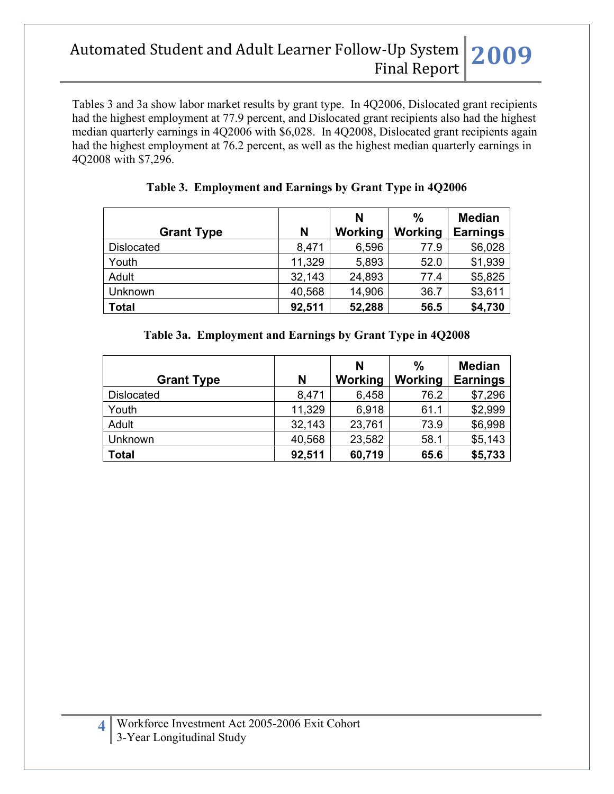Tables 3 and 3a show labor market results by grant type. In 4Q2006, Dislocated grant recipients had the highest employment at 77.9 percent, and Dislocated grant recipients also had the highest median quarterly earnings in 4Q2006 with \$6,028. In 4Q2008, Dislocated grant recipients again had the highest employment at 76.2 percent, as well as the highest median quarterly earnings in 4Q2008 with \$7,296.

|                   |        | N       | $\frac{0}{0}$ | <b>Median</b>   |
|-------------------|--------|---------|---------------|-----------------|
| <b>Grant Type</b> | N      | Working | Working       | <b>Earnings</b> |
| <b>Dislocated</b> | 8,471  | 6,596   | 77.9          | \$6,028         |
| Youth             | 11,329 | 5,893   | 52.0          | \$1,939         |
| Adult             | 32,143 | 24,893  | 77.4          | \$5,825         |
| Unknown           | 40,568 | 14,906  | 36.7          | \$3,611         |
| <b>Total</b>      | 92,511 | 52,288  | 56.5          | \$4,730         |

### **Table 3. Employment and Earnings by Grant Type in 4Q2006**

### **Table 3a. Employment and Earnings by Grant Type in 4Q2008**

|                   |        | N       | $\%$    | <b>Median</b>   |
|-------------------|--------|---------|---------|-----------------|
| <b>Grant Type</b> | N      | Working | Working | <b>Earnings</b> |
| <b>Dislocated</b> | 8,471  | 6,458   | 76.2    | \$7,296         |
| Youth             | 11,329 | 6,918   | 61.1    | \$2,999         |
| Adult             | 32,143 | 23,761  | 73.9    | \$6,998         |
| Unknown           | 40,568 | 23,582  | 58.1    | \$5,143         |
| <b>Total</b>      | 92,511 | 60,719  | 65.6    | \$5,733         |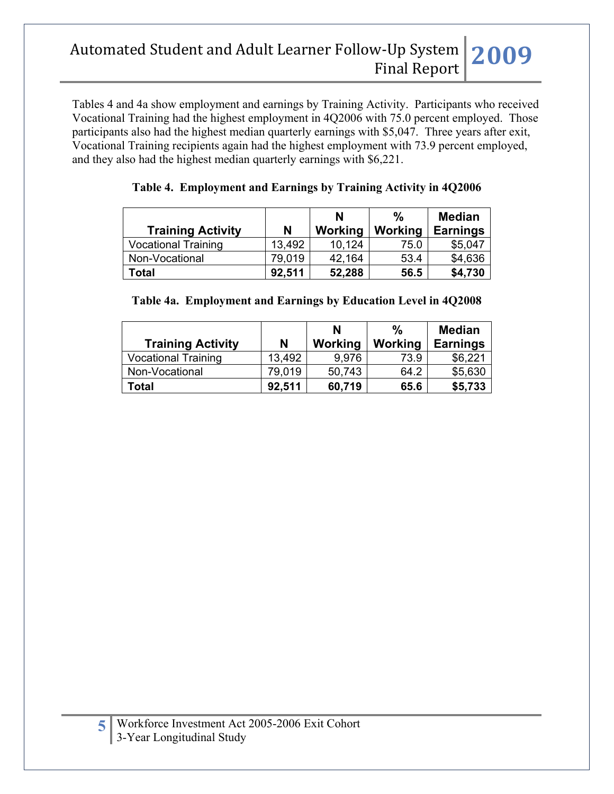Tables 4 and 4a show employment and earnings by Training Activity. Participants who received Vocational Training had the highest employment in 4Q2006 with 75.0 percent employed. Those participants also had the highest median quarterly earnings with \$5,047. Three years after exit, Vocational Training recipients again had the highest employment with 73.9 percent employed, and they also had the highest median quarterly earnings with \$6,221.

|                            |        | N       | $\frac{0}{0}$ | <b>Median</b>   |
|----------------------------|--------|---------|---------------|-----------------|
| <b>Training Activity</b>   | N      | Working | Working       | <b>Earnings</b> |
| <b>Vocational Training</b> | 13,492 | 10,124  | 75.0          | \$5,047         |
| Non-Vocational             | 79.019 | 42,164  | 53.4          | \$4,636         |
| Total                      | 92.511 | 52,288  | 56.5          | \$4,730         |

#### **Table 4. Employment and Earnings by Training Activity in 4Q2006**

|  | Table 4a. Employment and Earnings by Education Level in 4Q2008 |  |
|--|----------------------------------------------------------------|--|
|  |                                                                |  |

| <b>Training Activity</b>   | N      | N<br>Working | $\%$<br>Working | <b>Median</b><br><b>Earnings</b> |
|----------------------------|--------|--------------|-----------------|----------------------------------|
| <b>Vocational Training</b> | 13.492 | 9.976        | 73.9            | \$6,221                          |
| Non-Vocational             | 79.019 | 50,743       | 64.2            | \$5,630                          |
| <b>Total</b>               | 92,511 | 60,719       | 65.6            | \$5,733                          |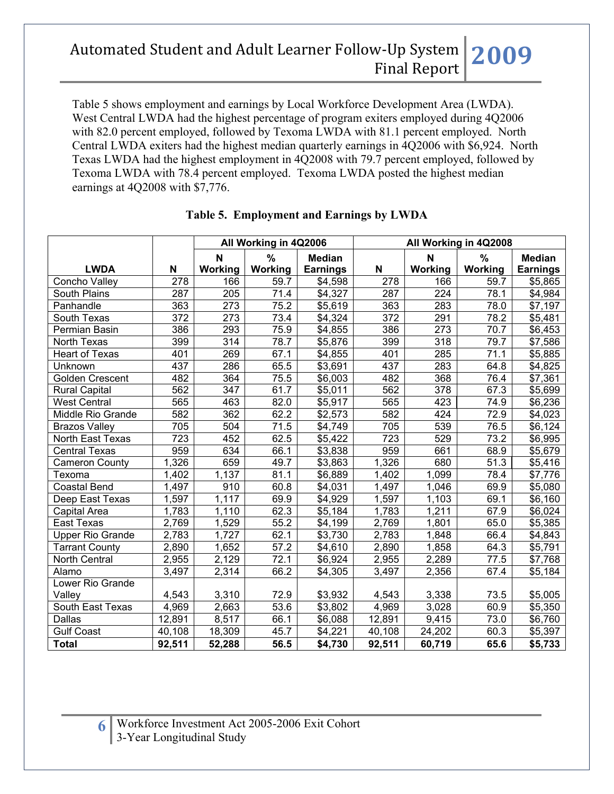Table 5 shows employment and earnings by Local Workforce Development Area (LWDA). West Central LWDA had the highest percentage of program exiters employed during 4Q2006 with 82.0 percent employed, followed by Texoma LWDA with 81.1 percent employed. North Central LWDA exiters had the highest median quarterly earnings in 4Q2006 with \$6,924. North Texas LWDA had the highest employment in 4Q2008 with 79.7 percent employed, followed by Texoma LWDA with 78.4 percent employed. Texoma LWDA posted the highest median earnings at 4Q2008 with \$7,776.

|                         |                  | All Working in 4Q2006 |                   |                 |                    | All Working in 4Q2008 |         |                 |
|-------------------------|------------------|-----------------------|-------------------|-----------------|--------------------|-----------------------|---------|-----------------|
|                         |                  | $\mathbf N$           | %                 | <b>Median</b>   |                    | N                     | %       | <b>Median</b>   |
| <b>LWDA</b>             | N                | Working               | Working           | <b>Earnings</b> | N                  | Working               | Working | <b>Earnings</b> |
| Concho Valley           | 278              | 166                   | 59.7              | \$4,598         | 278                | 166                   | 59.7    | \$5,865         |
| South Plains            | $\overline{287}$ | $\overline{205}$      | 71.4              | \$4,327         | $\overline{287}$   | 224                   | 78.1    | \$4,984         |
| Panhandle               | 363              | 273                   | 75.2              | \$5,619         | 363                | 283                   | 78.0    | \$7,197         |
| South Texas             | 372              | 273                   | 73.4              | \$4,324         | 372                | 291                   | 78.2    | \$5,481         |
| Permian Basin           | 386              | 293                   | 75.9              | \$4,855         | 386                | 273                   | 70.7    | \$6,453         |
| North Texas             | 399              | 314                   | 78.7              | \$5,876         | 399                | 318                   | 79.7    | \$7,586         |
| <b>Heart of Texas</b>   | 401              | 269                   | 67.1              | \$4,855         | 401                | 285                   | 71.1    | \$5,885         |
| Unknown                 | 437              | 286                   | 65.5              | \$3,691         | 437                | 283                   | 64.8    | \$4,825         |
| Golden Crescent         | 482              | 364                   | 75.5              | \$6,003         | 482                | 368                   | 76.4    | \$7,361         |
| <b>Rural Capital</b>    | 562              | 347                   | 61.7              | \$5,011         | 562                | 378                   | 67.3    | \$5,699         |
| <b>West Central</b>     | 565              | 463                   | 82.0              | \$5,917         | 565                | 423                   | 74.9    | \$6,236         |
| Middle Rio Grande       | 582              | 362                   | 62.2              | \$2,573         | 582                | 424                   | 72.9    | \$4,023         |
| <b>Brazos Valley</b>    | 705              | 504                   | 71.5              | \$4,749         | 705                | 539                   | 76.5    | \$6,124         |
| North East Texas        | $\overline{723}$ | 452                   | 62.5              | \$5,422         | $\overline{723}$   | 529                   | 73.2    | \$6,995         |
| <b>Central Texas</b>    | 959              | 634                   | 66.1              | \$3,838         | 959                | 661                   | 68.9    | \$5,679         |
| <b>Cameron County</b>   | 1,326            | 659                   | 49.7              | \$3,863         | 1,326              | 680                   | 51.3    | \$5,416         |
| Texoma                  | 1,402            | 1,137                 | 81.1              | \$6,889         | 1,402              | 1,099                 | 78.4    | \$7,776         |
| <b>Coastal Bend</b>     | 1,497            | 910                   | 60.8              | \$4,031         | 1,497              | 1,046                 | 69.9    | \$5,080         |
| Deep East Texas         | 1,597            | 1,117                 | 69.9              | \$4,929         | 1,597              | 1,103                 | 69.1    | \$6,160         |
| Capital Area            | 1,783            | 1,110                 | 62.3              | \$5,184         | 1,783              | 1,211                 | 67.9    | \$6,024         |
| <b>East Texas</b>       | 2,769            | 1,529                 | 55.2              | \$4,199         | 2,769              | 1,801                 | 65.0    | \$5,385         |
| <b>Upper Rio Grande</b> | 2,783            | 1,727                 | 62.1              | \$3,730         | 2,783              | 1,848                 | 66.4    | \$4,843         |
| <b>Tarrant County</b>   | 2,890            | 1,652                 | 57.2              | \$4,610         | 2,890              | 1,858                 | 64.3    | \$5,791         |
| North Central           | 2,955            | 2,129                 | $\overline{72}.1$ | \$6,924         | $\overline{2,955}$ | 2,289                 | 77.5    | \$7,768         |
| Alamo                   | 3,497            | 2,314                 | 66.2              | \$4,305         | 3,497              | 2,356                 | 67.4    | \$5,184         |
| Lower Rio Grande        |                  |                       |                   |                 |                    |                       |         |                 |
| Valley                  | 4,543            | 3,310                 | 72.9              | \$3,932         | 4,543              | 3,338                 | 73.5    | \$5,005         |
| South East Texas        | 4,969            | 2,663                 | 53.6              | \$3,802         | 4,969              | 3,028                 | 60.9    | \$5,350         |
| Dallas                  | 12,891           | 8,517                 | 66.1              | \$6,088         | 12,891             | 9,415                 | 73.0    | \$6,760         |
| <b>Gulf Coast</b>       | 40,108           | 18,309                | 45.7              | \$4,221         | 40,108             | 24,202                | 60.3    | \$5,397         |
| <b>Total</b>            | 92,511           | 52,288                | 56.5              | \$4,730         | 92,511             | 60,719                | 65.6    | \$5,733         |

### **Table 5. Employment and Earnings by LWDA**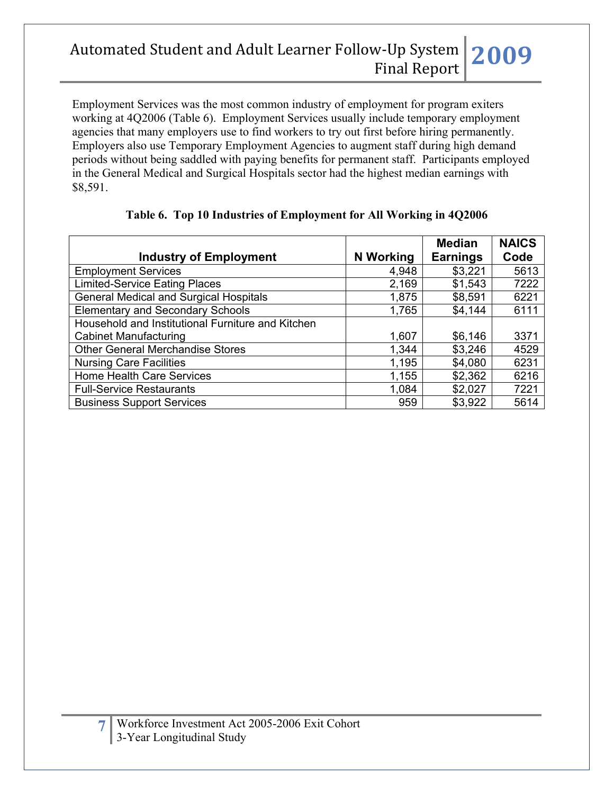Employment Services was the most common industry of employment for program exiters working at 4Q2006 (Table 6). Employment Services usually include temporary employment agencies that many employers use to find workers to try out first before hiring permanently. Employers also use Temporary Employment Agencies to augment staff during high demand periods without being saddled with paying benefits for permanent staff. Participants employed in the General Medical and Surgical Hospitals sector had the highest median earnings with \$8,591.

|                                                   |           | <b>Median</b>   | <b>NAICS</b> |
|---------------------------------------------------|-----------|-----------------|--------------|
| <b>Industry of Employment</b>                     | N Working | <b>Earnings</b> | Code         |
| <b>Employment Services</b>                        | 4,948     | \$3,221         | 5613         |
| <b>Limited-Service Eating Places</b>              | 2,169     | \$1,543         | 7222         |
| <b>General Medical and Surgical Hospitals</b>     | 1,875     | \$8,591         | 6221         |
| <b>Elementary and Secondary Schools</b>           | 1,765     | \$4,144         | 6111         |
| Household and Institutional Furniture and Kitchen |           |                 |              |
| <b>Cabinet Manufacturing</b>                      | 1,607     | \$6,146         | 3371         |
| <b>Other General Merchandise Stores</b>           | 1,344     | \$3,246         | 4529         |
| <b>Nursing Care Facilities</b>                    | 1,195     | \$4,080         | 6231         |
| Home Health Care Services                         | 1,155     | \$2,362         | 6216         |
| <b>Full-Service Restaurants</b>                   | 1,084     | \$2,027         | 7221         |
| <b>Business Support Services</b>                  | 959       | \$3,922         | 5614         |

### **Table 6. Top 10 Industries of Employment for All Working in 4Q2006**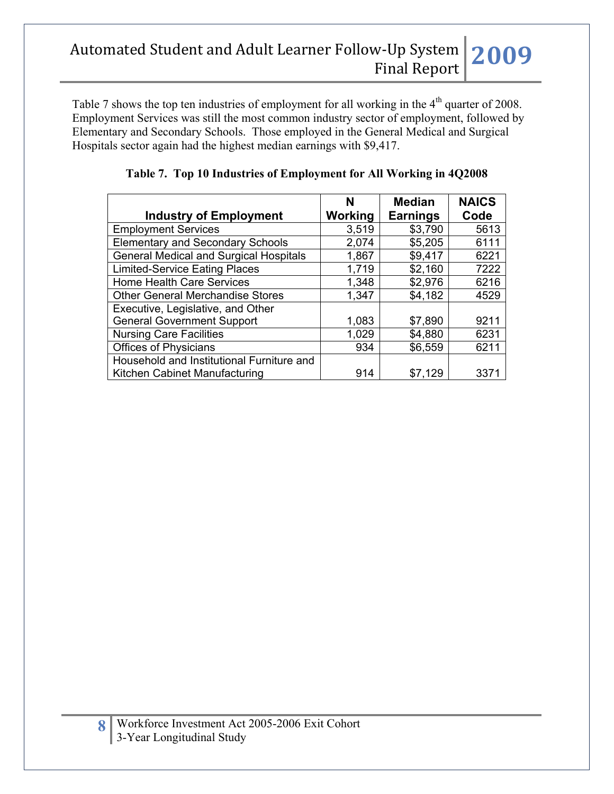Table 7 shows the top ten industries of employment for all working in the 4<sup>th</sup> quarter of 2008. Employment Services was still the most common industry sector of employment, followed by Elementary and Secondary Schools. Those employed in the General Medical and Surgical Hospitals sector again had the highest median earnings with \$9,417.

|                                               | N       | <b>Median</b>   | <b>NAICS</b> |
|-----------------------------------------------|---------|-----------------|--------------|
| <b>Industry of Employment</b>                 | Working | <b>Earnings</b> | Code         |
| <b>Employment Services</b>                    | 3,519   | \$3,790         | 5613         |
| <b>Elementary and Secondary Schools</b>       | 2,074   | \$5,205         | 6111         |
| <b>General Medical and Surgical Hospitals</b> | 1,867   | \$9,417         | 6221         |
| <b>Limited-Service Eating Places</b>          | 1,719   | \$2,160         | 7222         |
| <b>Home Health Care Services</b>              | 1,348   | \$2,976         | 6216         |
| <b>Other General Merchandise Stores</b>       | 1,347   | \$4,182         | 4529         |
| Executive, Legislative, and Other             |         |                 |              |
| <b>General Government Support</b>             | 1,083   | \$7,890         | 9211         |
| <b>Nursing Care Facilities</b>                | 1,029   | \$4,880         | 6231         |
| <b>Offices of Physicians</b>                  | 934     | \$6,559         | 6211         |
| Household and Institutional Furniture and     |         |                 |              |
| Kitchen Cabinet Manufacturing                 | 914     | \$7,129         | 337'         |

**Table 7. Top 10 Industries of Employment for All Working in 4Q2008**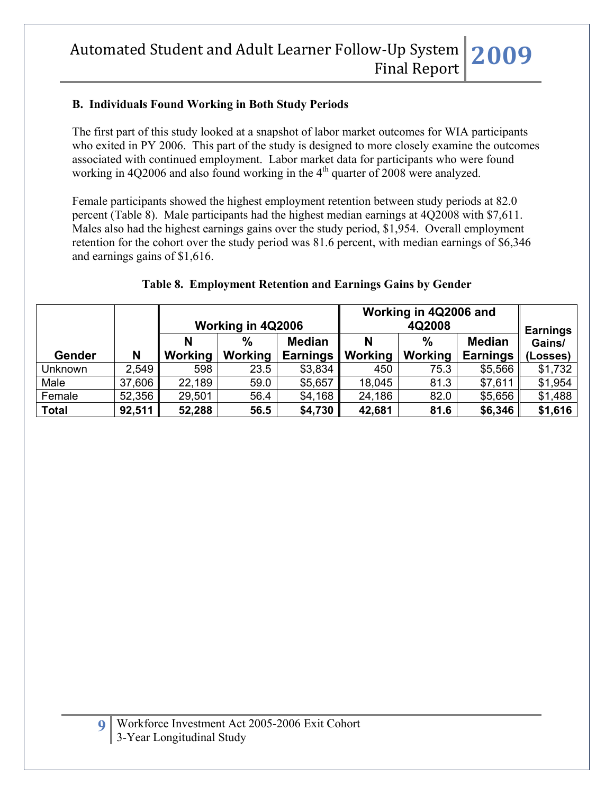### **B. Individuals Found Working in Both Study Periods**

The first part of this study looked at a snapshot of labor market outcomes for WIA participants who exited in PY 2006. This part of the study is designed to more closely examine the outcomes associated with continued employment. Labor market data for participants who were found working in 4Q2006 and also found working in the  $4<sup>th</sup>$  quarter of 2008 were analyzed.

Female participants showed the highest employment retention between study periods at 82.0 percent (Table 8). Male participants had the highest median earnings at 4Q2008 with \$7,611. Males also had the highest earnings gains over the study period, \$1,954. Overall employment retention for the cohort over the study period was 81.6 percent, with median earnings of \$6,346 and earnings gains of \$1,616.

|               |        | Working in 4Q2006 and<br>Working in 4Q2006<br>4Q2008 |                          |                                  |              |                 |                                  |                                       |
|---------------|--------|------------------------------------------------------|--------------------------|----------------------------------|--------------|-----------------|----------------------------------|---------------------------------------|
| <b>Gender</b> | N      | <b>N</b><br>Working                                  | $\frac{9}{6}$<br>Working | <b>Median</b><br><b>Earnings</b> | N<br>Working | $\%$<br>Working | <b>Median</b><br><b>Earnings</b> | <b>Earnings</b><br>Gains/<br>(Losses) |
| Unknown       | 2,549  | 598                                                  | 23.5                     | \$3,834                          | 450          | 75.3            | \$5,566                          | \$1,732                               |
| Male          | 37,606 | 22,189                                               | 59.0                     | \$5,657                          | 18,045       | 81.3            | \$7,611                          | \$1,954                               |
| Female        | 52,356 | 29,501                                               | 56.4                     | \$4,168                          | 24,186       | 82.0            | \$5,656                          | \$1,488                               |
| <b>Total</b>  | 92,511 | 52,288                                               | 56.5                     | \$4,730                          | 42,681       | 81.6            | \$6,346                          | \$1,616                               |

#### **Table 8. Employment Retention and Earnings Gains by Gender**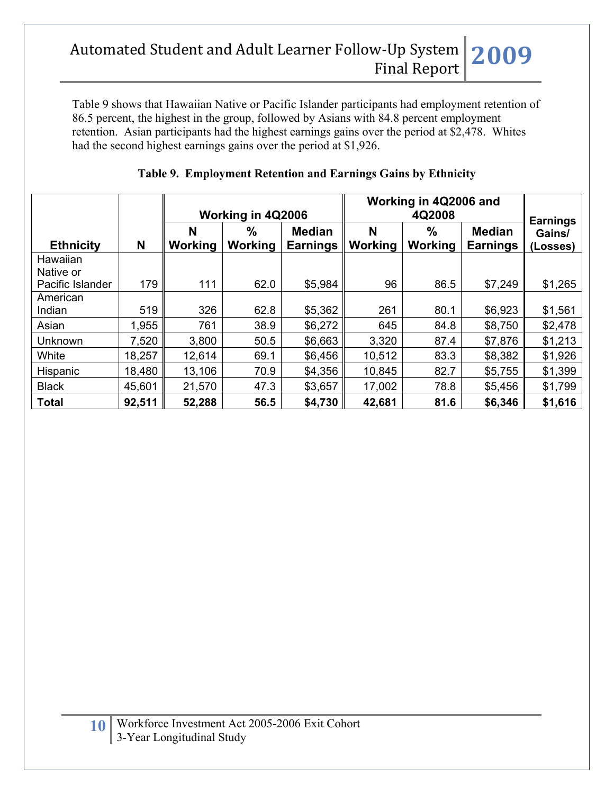Table 9 shows that Hawaiian Native or Pacific Islander participants had employment retention of 86.5 percent, the highest in the group, followed by Asians with 84.8 percent employment retention. Asian participants had the highest earnings gains over the period at \$2,478. Whites had the second highest earnings gains over the period at \$1,926.

|                       |        |              | Working in 4Q2006 |                                  | Working in 4Q2006 and<br>4Q2008 |                     |                                  | <b>Earnings</b>    |
|-----------------------|--------|--------------|-------------------|----------------------------------|---------------------------------|---------------------|----------------------------------|--------------------|
| <b>Ethnicity</b>      | N      | N<br>Working | %<br>Working      | <b>Median</b><br><b>Earnings</b> | N<br>Working                    | %<br><b>Working</b> | <b>Median</b><br><b>Earnings</b> | Gains/<br>(Losses) |
| Hawaiian<br>Native or |        |              |                   |                                  |                                 |                     |                                  |                    |
| Pacific Islander      | 179    | 111          | 62.0              | \$5,984                          | 96                              | 86.5                | \$7,249                          | \$1,265            |
| American              |        |              |                   |                                  |                                 |                     |                                  |                    |
| Indian                | 519    | 326          | 62.8              | \$5,362                          | 261                             | 80.1                | \$6,923                          | \$1,561            |
| Asian                 | 1,955  | 761          | 38.9              | \$6,272                          | 645                             | 84.8                | \$8,750                          | \$2,478            |
| Unknown               | 7,520  | 3,800        | 50.5              | \$6,663                          | 3,320                           | 87.4                | \$7,876                          | \$1,213            |
| White                 | 18,257 | 12,614       | 69.1              | \$6,456                          | 10,512                          | 83.3                | \$8,382                          | \$1,926            |
| Hispanic              | 18,480 | 13,106       | 70.9              | \$4,356                          | 10,845                          | 82.7                | \$5,755                          | \$1,399            |
| <b>Black</b>          | 45,601 | 21,570       | 47.3              | \$3,657                          | 17,002                          | 78.8                | \$5,456                          | \$1,799            |
| <b>Total</b>          | 92,511 | 52,288       | 56.5              | \$4,730                          | 42,681                          | 81.6                | \$6,346                          | \$1,616            |

## **Table 9. Employment Retention and Earnings Gains by Ethnicity**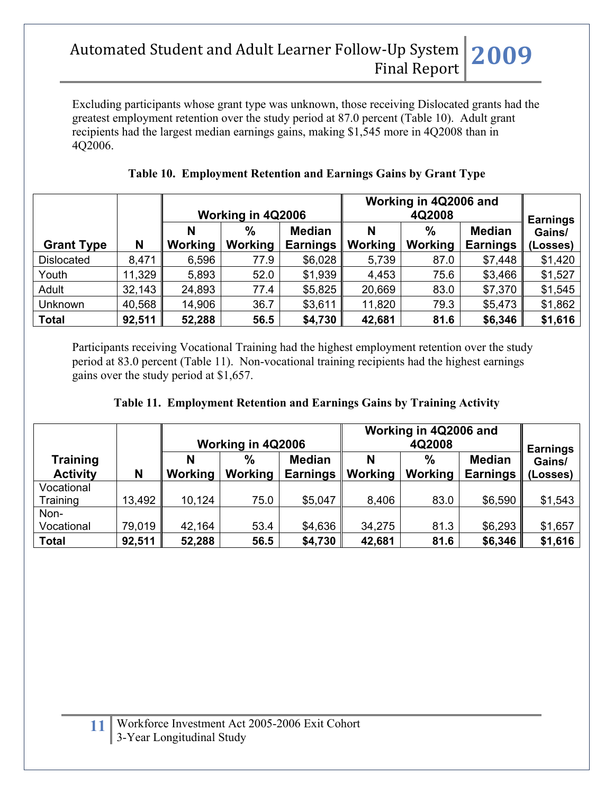Excluding participants whose grant type was unknown, those receiving Dislocated grants had the greatest employment retention over the study period at 87.0 percent (Table 10). Adult grant recipients had the largest median earnings gains, making \$1,545 more in 4Q2008 than in 4Q2006.

|                   |        |         | Working in 4Q2006 |                 | Working in 4Q2006 and<br>4Q2008 |                |                 | <b>Earnings</b> |
|-------------------|--------|---------|-------------------|-----------------|---------------------------------|----------------|-----------------|-----------------|
|                   |        | N       | $\frac{0}{0}$     | <b>Median</b>   | N                               | $\frac{0}{0}$  | <b>Median</b>   | Gains/          |
| <b>Grant Type</b> | N      | Working | Working           | <b>Earnings</b> | <b>Working</b>                  | <b>Working</b> | <b>Earnings</b> | (Losses)        |
| <b>Dislocated</b> | 8,471  | 6,596   | 77.9              | \$6,028         | 5,739                           | 87.0           | \$7,448         | \$1,420         |
| Youth             | 11,329 | 5,893   | 52.0              | \$1,939         | 4,453                           | 75.6           | \$3,466         | \$1,527         |
| Adult             | 32,143 | 24,893  | 77.4              | \$5,825         | 20,669                          | 83.0           | \$7,370         | \$1,545         |
| Unknown           | 40,568 | 14,906  | 36.7              | \$3,611         | 11,820                          | 79.3           | \$5,473         | \$1,862         |
| <b>Total</b>      | 92,511 | 52,288  | 56.5              | \$4,730         | 42,681                          | 81.6           | \$6,346         | \$1,616         |

## **Table 10. Employment Retention and Earnings Gains by Grant Type**

Participants receiving Vocational Training had the highest employment retention over the study period at 83.0 percent (Table 11). Non-vocational training recipients had the highest earnings gains over the study period at \$1,657.

| Table 11. Employment Retention and Earnings Gains by Training Activity |  |  |  |  |  |
|------------------------------------------------------------------------|--|--|--|--|--|
|------------------------------------------------------------------------|--|--|--|--|--|

|                                    |        |              | Working in 4Q2006      |                                  | Working in 4Q2006 and<br>4Q2008 |                 |                                  | <b>Earnings</b>    |
|------------------------------------|--------|--------------|------------------------|----------------------------------|---------------------------------|-----------------|----------------------------------|--------------------|
| <b>Training</b><br><b>Activity</b> | N      | N<br>Working | $\%$<br><b>Working</b> | <b>Median</b><br><b>Earnings</b> | N<br><b>Working</b>             | $\%$<br>Working | <b>Median</b><br><b>Earnings</b> | Gains/<br>(Losses) |
| Vocational<br>Training             | 13,492 | 10,124       | 75.0                   | \$5,047                          | 8,406                           | 83.0            | \$6,590                          | \$1,543            |
| Non-<br>Vocational                 | 79,019 | 42,164       | 53.4                   | \$4,636                          | 34,275                          | 81.3            | \$6,293                          | \$1,657            |
| <b>Total</b>                       | 92,511 | 52,288       | 56.5                   | \$4,730                          | 42,681                          | 81.6            | \$6,346                          | \$1,616            |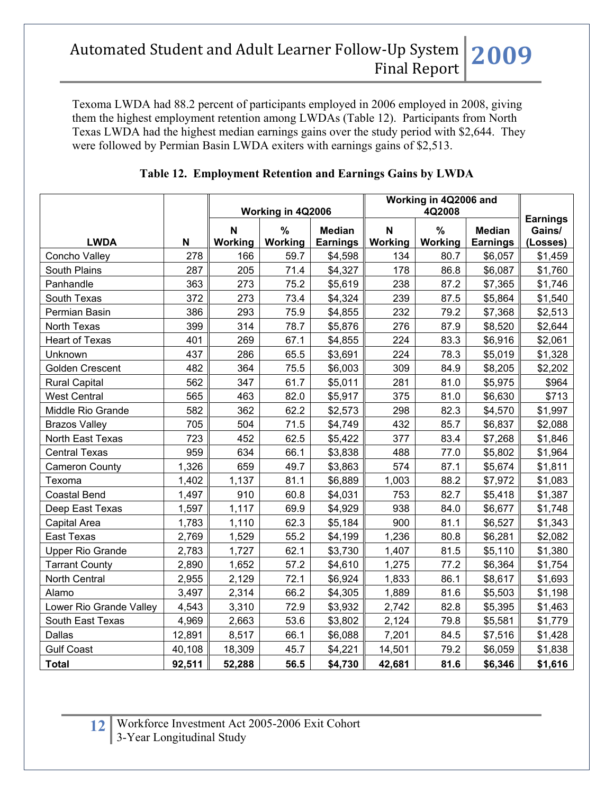Texoma LWDA had 88.2 percent of participants employed in 2006 employed in 2008, giving them the highest employment retention among LWDAs (Table 12). Participants from North Texas LWDA had the highest median earnings gains over the study period with \$2,644. They were followed by Permian Basin LWDA exiters with earnings gains of \$2,513.

|                         |        | Working in 4Q2006             |                          | Working in 4Q2006 and            | <b>Earnings</b> |                          |                                  |                    |
|-------------------------|--------|-------------------------------|--------------------------|----------------------------------|-----------------|--------------------------|----------------------------------|--------------------|
| <b>LWDA</b>             | N      | $\mathbf N$<br><b>Working</b> | $\frac{0}{0}$<br>Working | <b>Median</b><br><b>Earnings</b> | N<br>Working    | $\frac{9}{6}$<br>Working | <b>Median</b><br><b>Earnings</b> | Gains/<br>(Losses) |
| Concho Valley           | 278    | 166                           | 59.7                     | \$4,598                          | 134             | 80.7                     | \$6,057                          | \$1,459            |
| <b>South Plains</b>     | 287    | 205                           | 71.4                     | \$4,327                          | 178             | 86.8                     | \$6,087                          | \$1,760            |
| Panhandle               | 363    | 273                           | 75.2                     | \$5,619                          | 238             | 87.2                     | \$7,365                          | \$1,746            |
| South Texas             | 372    | 273                           | 73.4                     | \$4,324                          | 239             | 87.5                     | \$5,864                          | \$1,540            |
| Permian Basin           | 386    | 293                           | 75.9                     | \$4,855                          | 232             | 79.2                     | \$7,368                          | \$2,513            |
| North Texas             | 399    | 314                           | 78.7                     | \$5,876                          | 276             | 87.9                     | \$8,520                          | \$2,644            |
| <b>Heart of Texas</b>   | 401    | 269                           | 67.1                     | \$4,855                          | 224             | 83.3                     | \$6,916                          | \$2,061            |
| Unknown                 | 437    | 286                           | 65.5                     | \$3,691                          | 224             | 78.3                     | \$5,019                          | \$1,328            |
| Golden Crescent         | 482    | 364                           | 75.5                     | \$6,003                          | 309             | 84.9                     | \$8,205                          | \$2,202            |
| <b>Rural Capital</b>    | 562    | 347                           | 61.7                     | \$5,011                          | 281             | 81.0                     | \$5,975                          | \$964              |
| <b>West Central</b>     | 565    | 463                           | 82.0                     | \$5,917                          | 375             | 81.0                     | \$6,630                          | \$713              |
| Middle Rio Grande       | 582    | 362                           | 62.2                     | \$2,573                          | 298             | 82.3                     | \$4,570                          | \$1,997            |
| <b>Brazos Valley</b>    | 705    | 504                           | 71.5                     | \$4,749                          | 432             | 85.7                     | \$6,837                          | \$2,088            |
| North East Texas        | 723    | 452                           | 62.5                     | \$5,422                          | 377             | 83.4                     | \$7,268                          | \$1,846            |
| <b>Central Texas</b>    | 959    | 634                           | 66.1                     | \$3,838                          | 488             | 77.0                     | \$5,802                          | \$1,964            |
| <b>Cameron County</b>   | 1,326  | 659                           | 49.7                     | \$3,863                          | 574             | 87.1                     | \$5,674                          | \$1,811            |
| Texoma                  | 1,402  | 1,137                         | 81.1                     | \$6,889                          | 1,003           | 88.2                     | \$7,972                          | \$1,083            |
| <b>Coastal Bend</b>     | 1,497  | 910                           | 60.8                     | \$4,031                          | 753             | 82.7                     | \$5,418                          | \$1,387            |
| Deep East Texas         | 1,597  | 1,117                         | 69.9                     | \$4,929                          | 938             | 84.0                     | \$6,677                          | \$1,748            |
| Capital Area            | 1,783  | 1,110                         | 62.3                     | \$5,184                          | 900             | 81.1                     | \$6,527                          | \$1,343            |
| East Texas              | 2,769  | 1,529                         | 55.2                     | \$4,199                          | 1,236           | 80.8                     | \$6,281                          | \$2,082            |
| <b>Upper Rio Grande</b> | 2,783  | 1,727                         | 62.1                     | \$3,730                          | 1,407           | 81.5                     | \$5,110                          | \$1,380            |
| <b>Tarrant County</b>   | 2,890  | 1,652                         | 57.2                     | \$4,610                          | 1,275           | 77.2                     | \$6,364                          | \$1,754            |
| North Central           | 2,955  | 2,129                         | 72.1                     | \$6,924                          | 1,833           | 86.1                     | \$8,617                          | \$1,693            |
| Alamo                   | 3,497  | 2,314                         | 66.2                     | \$4,305                          | 1,889           | 81.6                     | \$5,503                          | \$1,198            |
| Lower Rio Grande Valley | 4,543  | 3,310                         | 72.9                     | \$3,932                          | 2,742           | 82.8                     | \$5,395                          | \$1,463            |
| South East Texas        | 4,969  | 2,663                         | 53.6                     | \$3,802                          | 2,124           | 79.8                     | \$5,581                          | \$1,779            |
| Dallas                  | 12,891 | 8,517                         | 66.1                     | \$6,088                          | 7,201           | 84.5                     | \$7,516                          | \$1,428            |
| <b>Gulf Coast</b>       | 40,108 | 18,309                        | 45.7                     | \$4,221                          | 14,501          | 79.2                     | \$6,059                          | \$1,838            |
| <b>Total</b>            | 92,511 | 52,288                        | 56.5                     | \$4,730                          | 42,681          | 81.6                     | \$6,346                          | \$1,616            |

## **Table 12. Employment Retention and Earnings Gains by LWDA**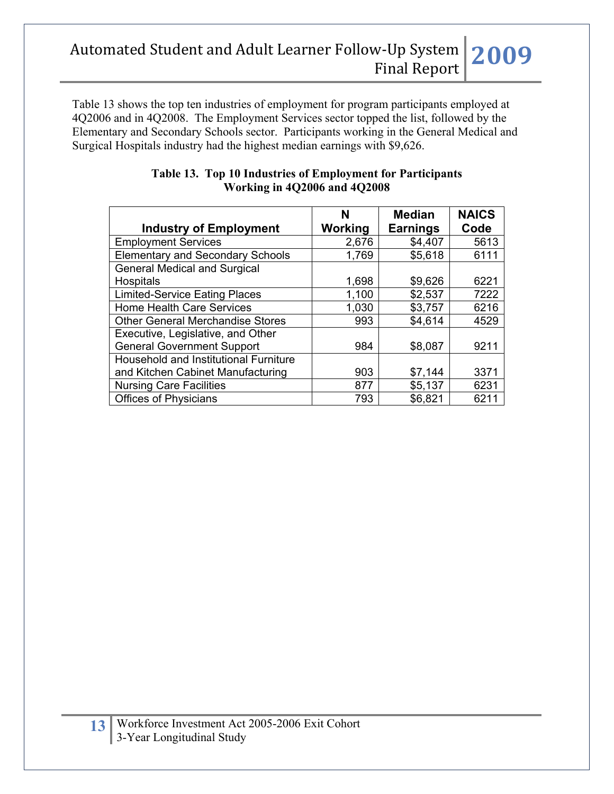Table 13 shows the top ten industries of employment for program participants employed at 4Q2006 and in 4Q2008. The Employment Services sector topped the list, followed by the Elementary and Secondary Schools sector. Participants working in the General Medical and Surgical Hospitals industry had the highest median earnings with \$9,626.

| <b>Industry of Employment</b>           | N<br>Working | <b>Median</b><br><b>Earnings</b> | <b>NAICS</b><br>Code |
|-----------------------------------------|--------------|----------------------------------|----------------------|
| <b>Employment Services</b>              | 2,676        | \$4,407                          | 5613                 |
|                                         |              |                                  |                      |
| <b>Elementary and Secondary Schools</b> | 1,769        | \$5,618                          | 6111                 |
| <b>General Medical and Surgical</b>     |              |                                  |                      |
| Hospitals                               | 1,698        | \$9,626                          | 6221                 |
| <b>Limited-Service Eating Places</b>    | 1,100        | \$2,537                          | 7222                 |
| <b>Home Health Care Services</b>        | 1,030        | \$3,757                          | 6216                 |
| <b>Other General Merchandise Stores</b> | 993          | \$4,614                          | 4529                 |
| Executive, Legislative, and Other       |              |                                  |                      |
| <b>General Government Support</b>       | 984          | \$8,087                          | 9211                 |
| Household and Institutional Furniture   |              |                                  |                      |
| and Kitchen Cabinet Manufacturing       | 903          | \$7,144                          | 3371                 |
| <b>Nursing Care Facilities</b>          | 877          | \$5,137                          | 6231                 |
| <b>Offices of Physicians</b>            | 793          | \$6,821                          | 6211                 |

#### **Table 13. Top 10 Industries of Employment for Participants Working in 4Q2006 and 4Q2008**